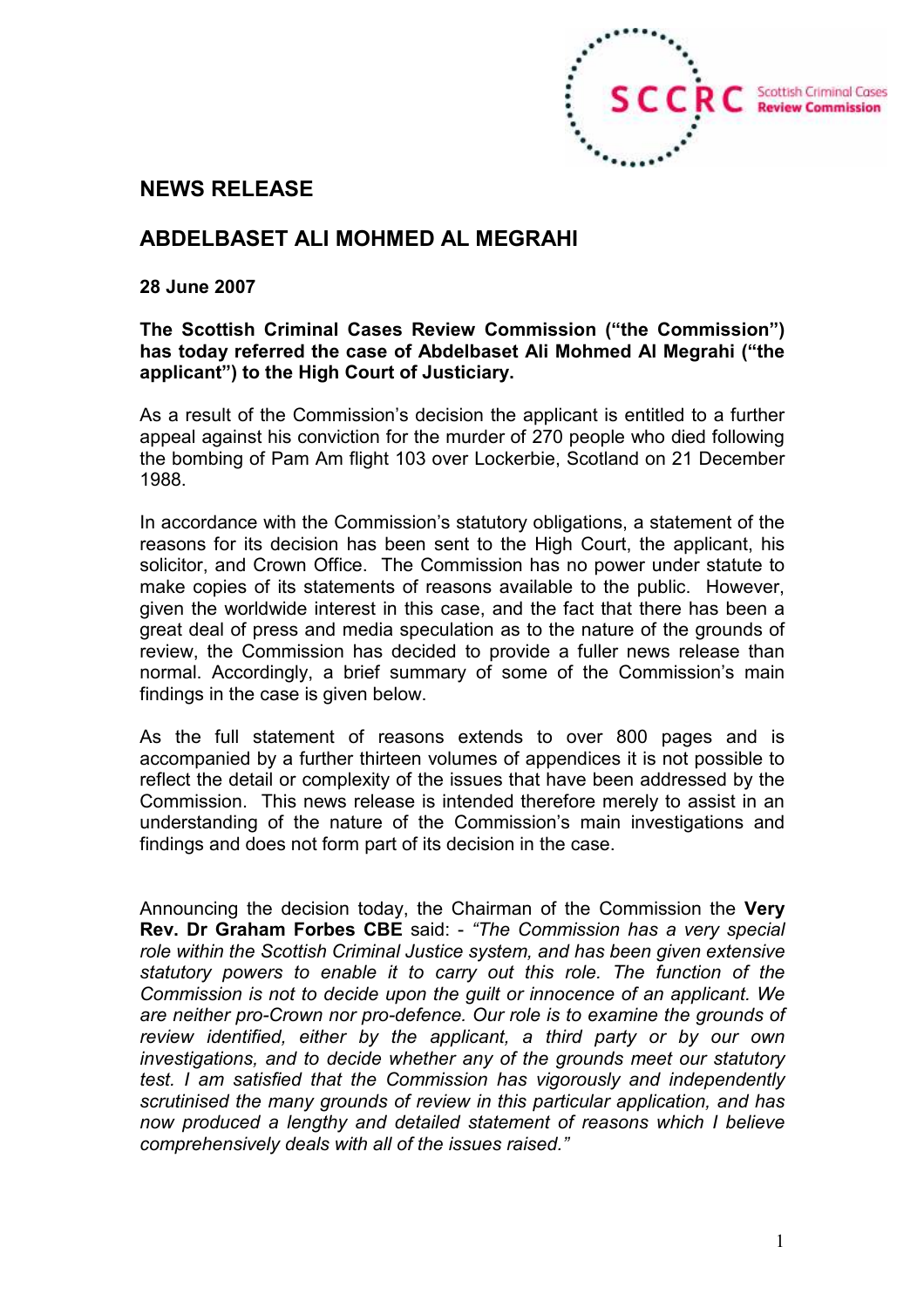

# NEWS RELEASE

# ABDELBASET ALI MOHMED AL MEGRAHI

#### 28 June 2007

### The Scottish Criminal Cases Review Commission ("the Commission") has today referred the case of Abdelbaset Ali Mohmed Al Megrahi ("the applicant") to the High Court of Justiciary.

As a result of the Commission's decision the applicant is entitled to a further appeal against his conviction for the murder of 270 people who died following the bombing of Pam Am flight 103 over Lockerbie, Scotland on 21 December 1988.

In accordance with the Commission's statutory obligations, a statement of the reasons for its decision has been sent to the High Court, the applicant, his solicitor, and Crown Office. The Commission has no power under statute to make copies of its statements of reasons available to the public. However, given the worldwide interest in this case, and the fact that there has been a great deal of press and media speculation as to the nature of the grounds of review, the Commission has decided to provide a fuller news release than normal. Accordingly, a brief summary of some of the Commission's main findings in the case is given below.

As the full statement of reasons extends to over 800 pages and is accompanied by a further thirteen volumes of appendices it is not possible to reflect the detail or complexity of the issues that have been addressed by the Commission. This news release is intended therefore merely to assist in an understanding of the nature of the Commission's main investigations and findings and does not form part of its decision in the case.

Announcing the decision today, the Chairman of the Commission the Very Rev. Dr Graham Forbes CBE said: - "The Commission has a very special role within the Scottish Criminal Justice system, and has been given extensive statutory powers to enable it to carry out this role. The function of the Commission is not to decide upon the guilt or innocence of an applicant. We are neither pro-Crown nor pro-defence. Our role is to examine the grounds of review identified, either by the applicant, a third party or by our own investigations, and to decide whether any of the grounds meet our statutory test. I am satisfied that the Commission has vigorously and independently scrutinised the many grounds of review in this particular application, and has now produced a lengthy and detailed statement of reasons which I believe comprehensively deals with all of the issues raised."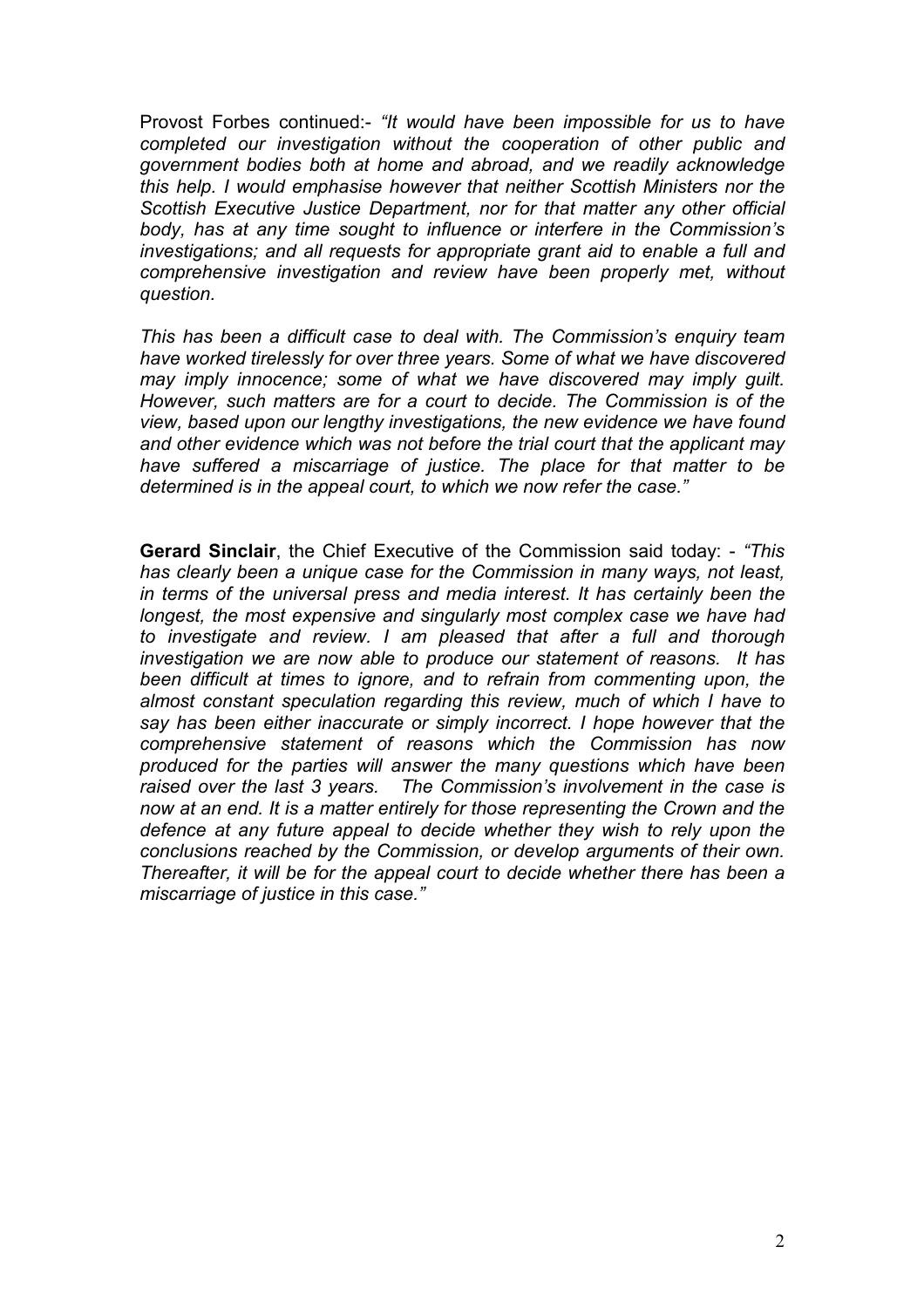Provost Forbes continued:- "It would have been impossible for us to have completed our investigation without the cooperation of other public and government bodies both at home and abroad, and we readily acknowledge this help. I would emphasise however that neither Scottish Ministers nor the Scottish Executive Justice Department, nor for that matter any other official body, has at any time sought to influence or interfere in the Commission's investigations; and all requests for appropriate grant aid to enable a full and comprehensive investigation and review have been properly met, without question.

This has been a difficult case to deal with. The Commission's enquiry team have worked tirelessly for over three years. Some of what we have discovered may imply innocence; some of what we have discovered may imply guilt. However, such matters are for a court to decide. The Commission is of the view, based upon our lengthy investigations, the new evidence we have found and other evidence which was not before the trial court that the applicant may have suffered a miscarriage of justice. The place for that matter to be determined is in the appeal court, to which we now refer the case."

Gerard Sinclair, the Chief Executive of the Commission said today: - "This has clearly been a unique case for the Commission in many ways, not least, in terms of the universal press and media interest. It has certainly been the longest, the most expensive and singularly most complex case we have had to investigate and review. I am pleased that after a full and thorough investigation we are now able to produce our statement of reasons. It has been difficult at times to ignore, and to refrain from commenting upon, the almost constant speculation regarding this review, much of which I have to say has been either inaccurate or simply incorrect. I hope however that the comprehensive statement of reasons which the Commission has now produced for the parties will answer the many questions which have been raised over the last 3 years. The Commission's involvement in the case is now at an end. It is a matter entirely for those representing the Crown and the defence at any future appeal to decide whether they wish to rely upon the conclusions reached by the Commission, or develop arguments of their own. Thereafter, it will be for the appeal court to decide whether there has been a miscarriage of justice in this case."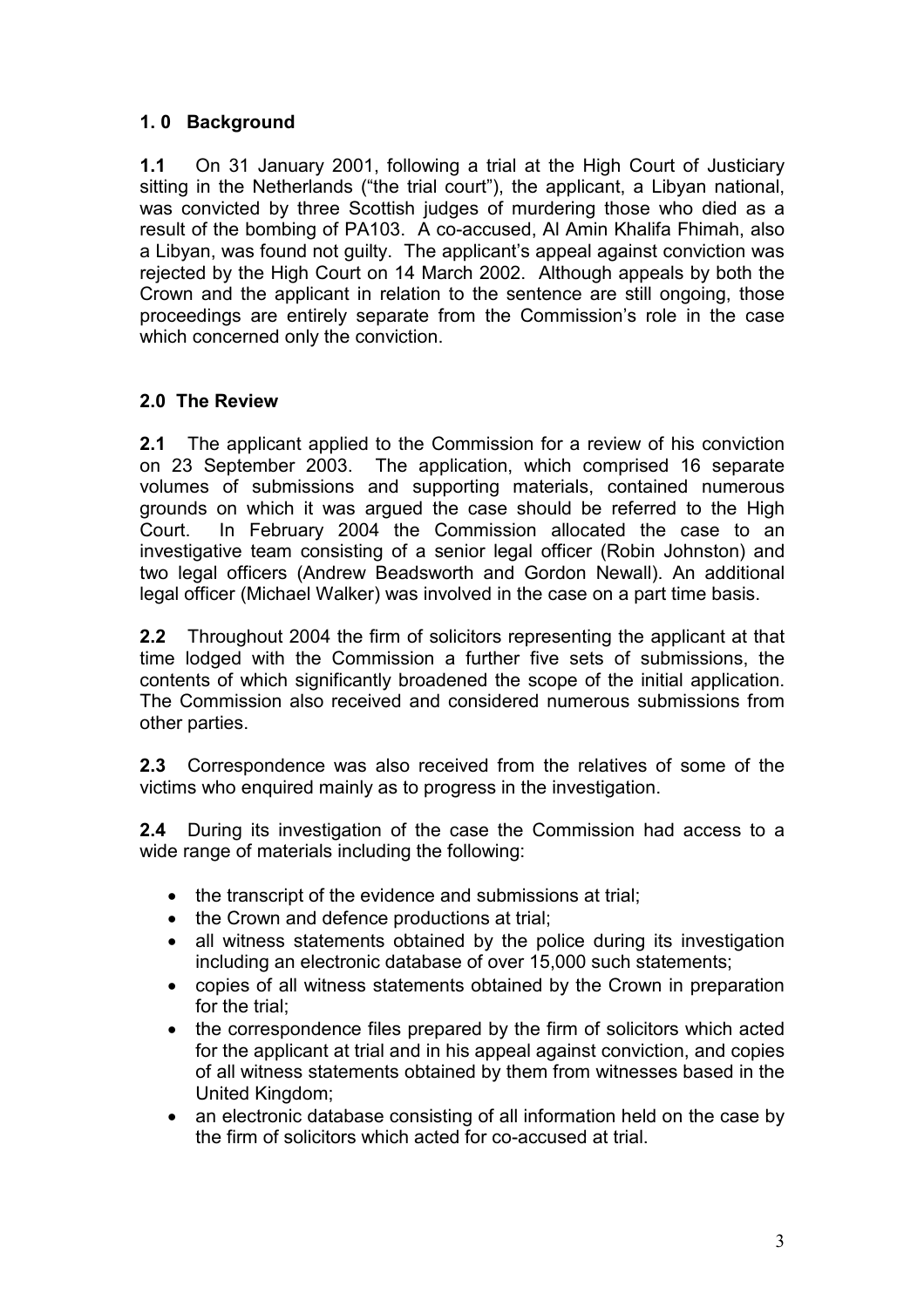## 1. 0 Background

1.1 On 31 January 2001, following a trial at the High Court of Justiciary sitting in the Netherlands ("the trial court"), the applicant, a Libyan national, was convicted by three Scottish judges of murdering those who died as a result of the bombing of PA103. A co-accused, Al Amin Khalifa Fhimah, also a Libyan, was found not guilty. The applicant's appeal against conviction was rejected by the High Court on 14 March 2002. Although appeals by both the Crown and the applicant in relation to the sentence are still ongoing, those proceedings are entirely separate from the Commission's role in the case which concerned only the conviction.

# 2.0 The Review

2.1 The applicant applied to the Commission for a review of his conviction on 23 September 2003. The application, which comprised 16 separate volumes of submissions and supporting materials, contained numerous grounds on which it was argued the case should be referred to the High Court. In February 2004 the Commission allocated the case to an investigative team consisting of a senior legal officer (Robin Johnston) and two legal officers (Andrew Beadsworth and Gordon Newall). An additional legal officer (Michael Walker) was involved in the case on a part time basis.

2.2 Throughout 2004 the firm of solicitors representing the applicant at that time lodged with the Commission a further five sets of submissions, the contents of which significantly broadened the scope of the initial application. The Commission also received and considered numerous submissions from other parties.

2.3 Correspondence was also received from the relatives of some of the victims who enquired mainly as to progress in the investigation.

2.4 During its investigation of the case the Commission had access to a wide range of materials including the following:

- the transcript of the evidence and submissions at trial;
- the Crown and defence productions at trial;
- all witness statements obtained by the police during its investigation including an electronic database of over 15,000 such statements;
- copies of all witness statements obtained by the Crown in preparation for the trial;
- the correspondence files prepared by the firm of solicitors which acted for the applicant at trial and in his appeal against conviction, and copies of all witness statements obtained by them from witnesses based in the United Kingdom;
- an electronic database consisting of all information held on the case by the firm of solicitors which acted for co-accused at trial.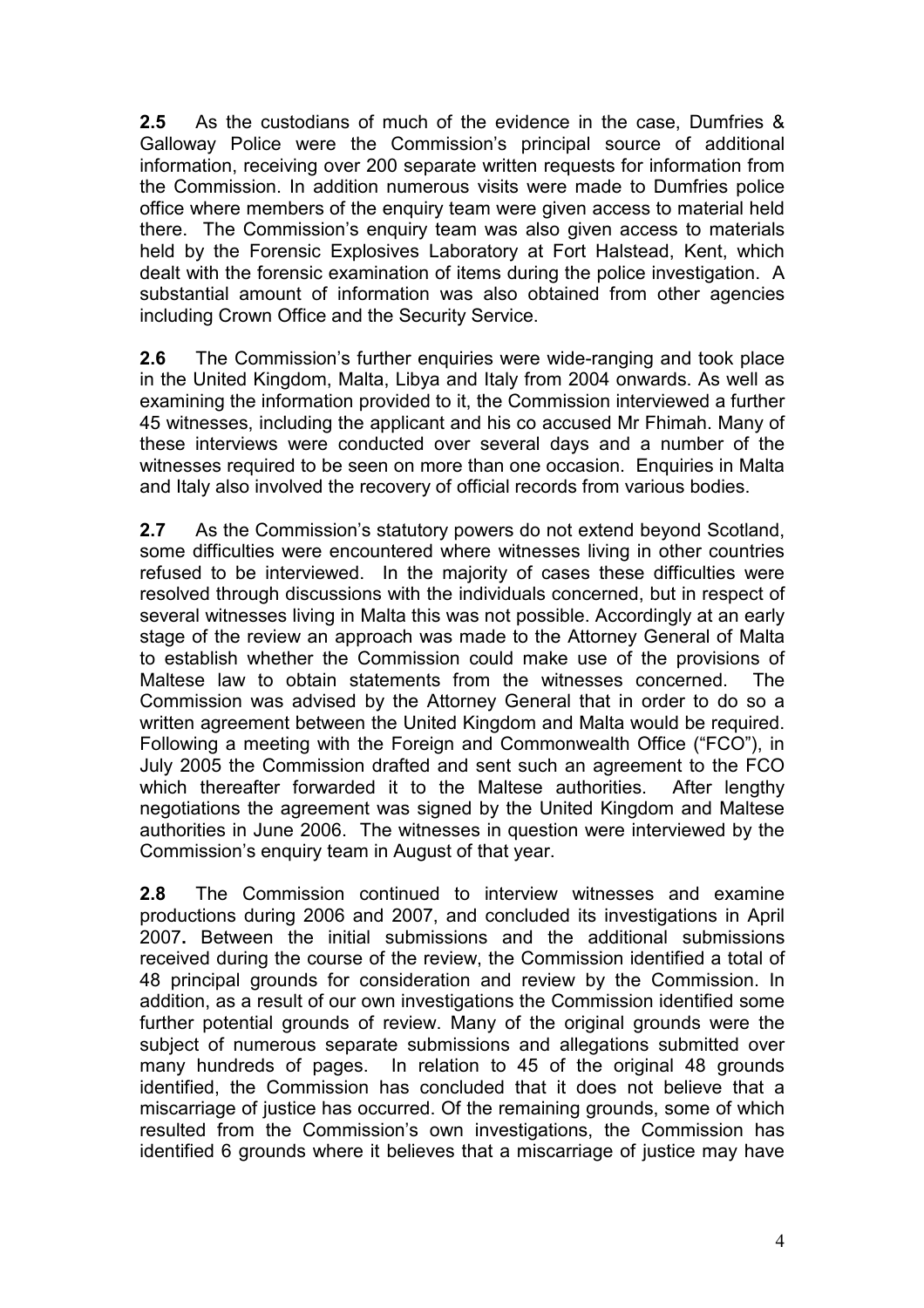2.5 As the custodians of much of the evidence in the case, Dumfries & Galloway Police were the Commission's principal source of additional information, receiving over 200 separate written requests for information from the Commission. In addition numerous visits were made to Dumfries police office where members of the enquiry team were given access to material held there. The Commission's enquiry team was also given access to materials held by the Forensic Explosives Laboratory at Fort Halstead, Kent, which dealt with the forensic examination of items during the police investigation. A substantial amount of information was also obtained from other agencies including Crown Office and the Security Service.

2.6 The Commission's further enquiries were wide-ranging and took place in the United Kingdom, Malta, Libya and Italy from 2004 onwards. As well as examining the information provided to it, the Commission interviewed a further 45 witnesses, including the applicant and his co accused Mr Fhimah. Many of these interviews were conducted over several days and a number of the witnesses required to be seen on more than one occasion. Enquiries in Malta and Italy also involved the recovery of official records from various bodies.

2.7 As the Commission's statutory powers do not extend beyond Scotland, some difficulties were encountered where witnesses living in other countries refused to be interviewed. In the majority of cases these difficulties were resolved through discussions with the individuals concerned, but in respect of several witnesses living in Malta this was not possible. Accordingly at an early stage of the review an approach was made to the Attorney General of Malta to establish whether the Commission could make use of the provisions of Maltese law to obtain statements from the witnesses concerned. The Commission was advised by the Attorney General that in order to do so a written agreement between the United Kingdom and Malta would be required. Following a meeting with the Foreign and Commonwealth Office ("FCO"), in July 2005 the Commission drafted and sent such an agreement to the FCO which thereafter forwarded it to the Maltese authorities. After lengthy negotiations the agreement was signed by the United Kingdom and Maltese authorities in June 2006. The witnesses in question were interviewed by the Commission's enquiry team in August of that year.

2.8 The Commission continued to interview witnesses and examine productions during 2006 and 2007, and concluded its investigations in April 2007. Between the initial submissions and the additional submissions received during the course of the review, the Commission identified a total of 48 principal grounds for consideration and review by the Commission. In addition, as a result of our own investigations the Commission identified some further potential grounds of review. Many of the original grounds were the subject of numerous separate submissions and allegations submitted over many hundreds of pages. In relation to 45 of the original 48 grounds identified, the Commission has concluded that it does not believe that a miscarriage of justice has occurred. Of the remaining grounds, some of which resulted from the Commission's own investigations, the Commission has identified 6 grounds where it believes that a miscarriage of justice may have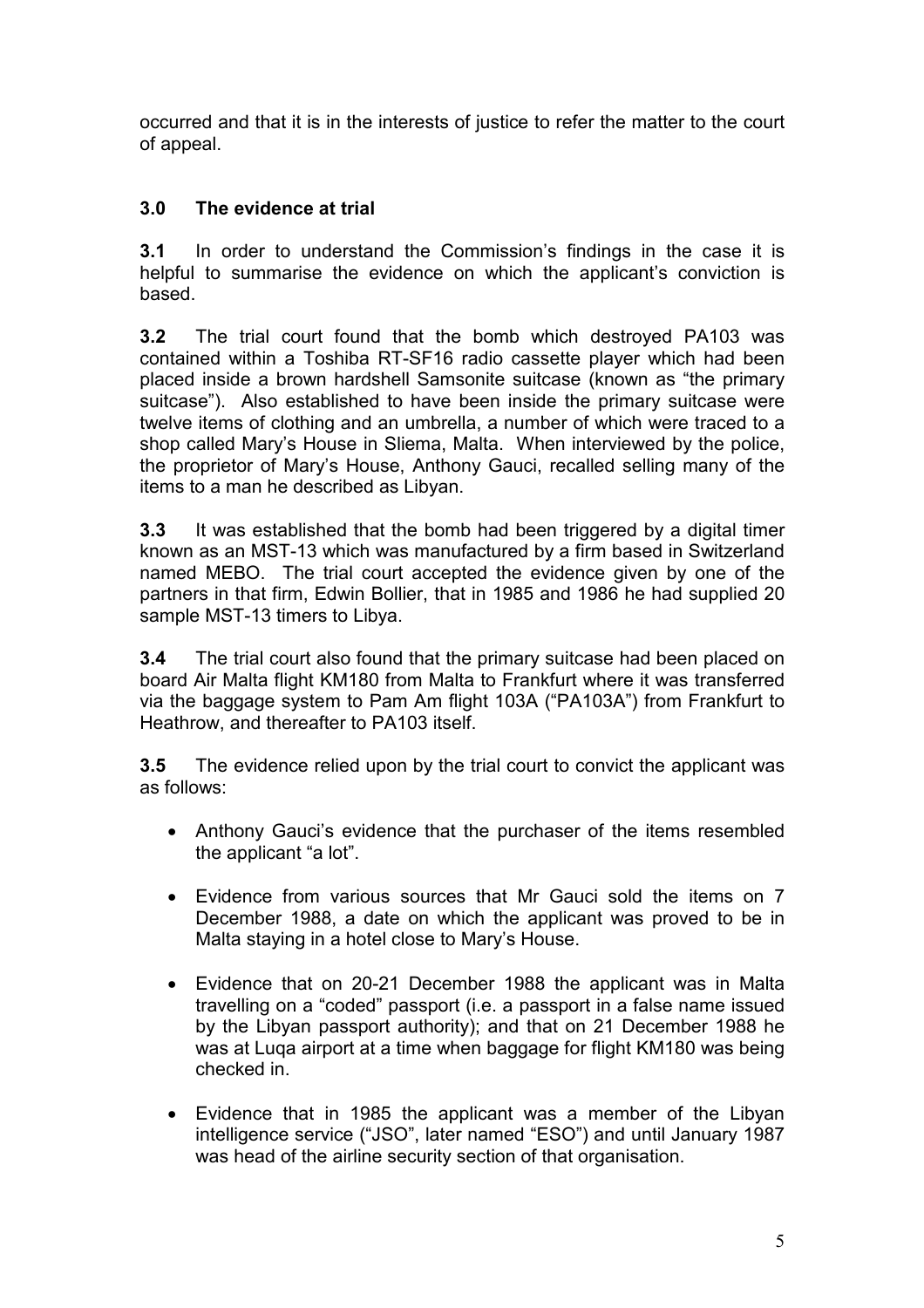occurred and that it is in the interests of justice to refer the matter to the court of appeal.

# 3.0 The evidence at trial

3.1 In order to understand the Commission's findings in the case it is helpful to summarise the evidence on which the applicant's conviction is based.

3.2 The trial court found that the bomb which destroyed PA103 was contained within a Toshiba RT-SF16 radio cassette player which had been placed inside a brown hardshell Samsonite suitcase (known as "the primary suitcase"). Also established to have been inside the primary suitcase were twelve items of clothing and an umbrella, a number of which were traced to a shop called Mary's House in Sliema, Malta. When interviewed by the police, the proprietor of Mary's House, Anthony Gauci, recalled selling many of the items to a man he described as Libyan.

3.3 It was established that the bomb had been triggered by a digital timer known as an MST-13 which was manufactured by a firm based in Switzerland named MEBO. The trial court accepted the evidence given by one of the partners in that firm, Edwin Bollier, that in 1985 and 1986 he had supplied 20 sample MST-13 timers to Libya.

**3.4** The trial court also found that the primary suitcase had been placed on board Air Malta flight KM180 from Malta to Frankfurt where it was transferred via the baggage system to Pam Am flight 103A ("PA103A") from Frankfurt to Heathrow, and thereafter to PA103 itself.

3.5 The evidence relied upon by the trial court to convict the applicant was as follows:

- Anthony Gauci's evidence that the purchaser of the items resembled the applicant "a lot".
- Evidence from various sources that Mr Gauci sold the items on 7 December 1988, a date on which the applicant was proved to be in Malta staying in a hotel close to Mary's House.
- Evidence that on 20-21 December 1988 the applicant was in Malta travelling on a "coded" passport (i.e. a passport in a false name issued by the Libyan passport authority); and that on 21 December 1988 he was at Luqa airport at a time when baggage for flight KM180 was being checked in.
- Evidence that in 1985 the applicant was a member of the Libyan intelligence service ("JSO", later named "ESO") and until January 1987 was head of the airline security section of that organisation.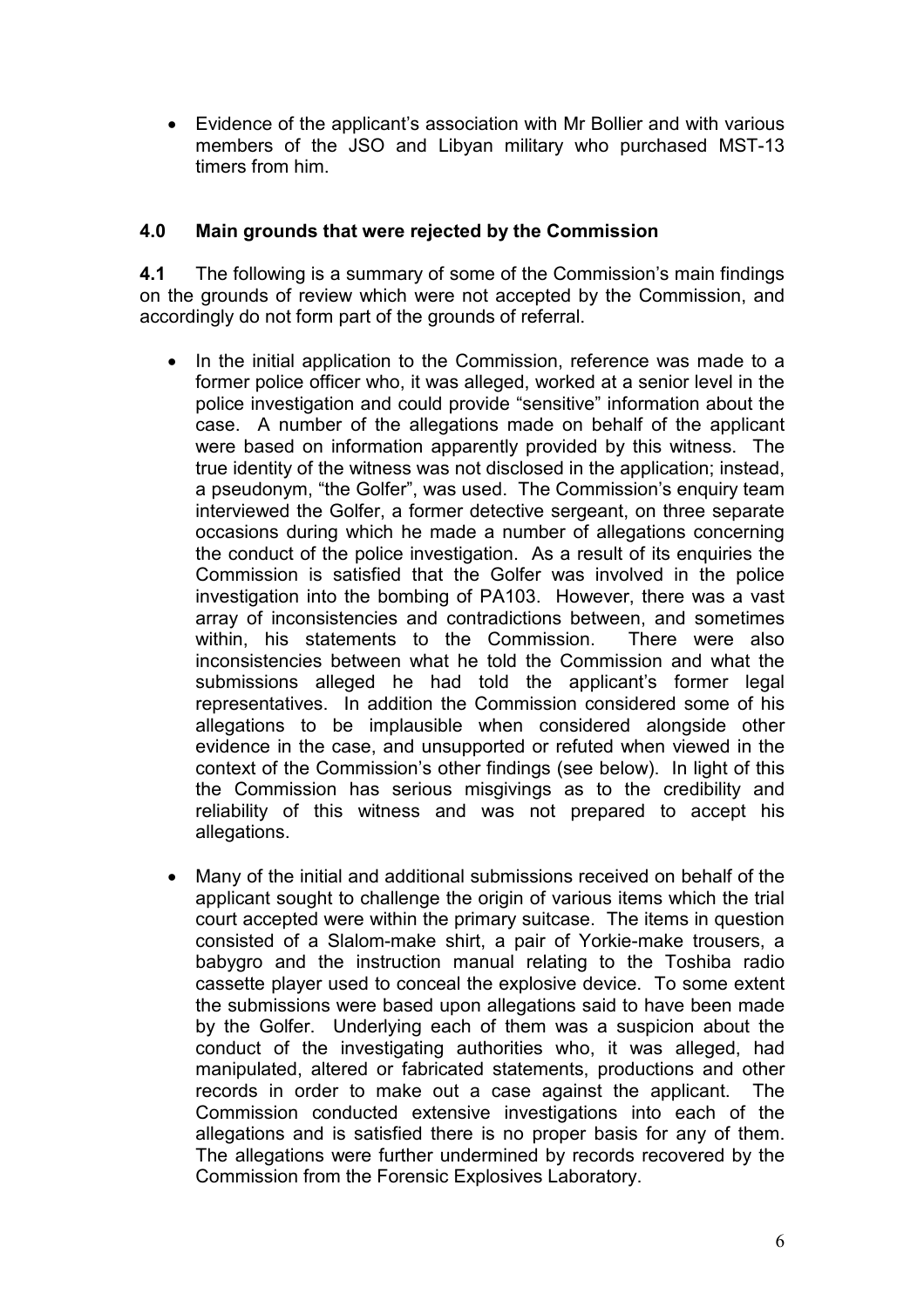• Evidence of the applicant's association with Mr Bollier and with various members of the JSO and Libyan military who purchased MST-13 timers from him.

### 4.0 Main grounds that were rejected by the Commission

4.1 The following is a summary of some of the Commission's main findings on the grounds of review which were not accepted by the Commission, and accordingly do not form part of the grounds of referral.

- In the initial application to the Commission, reference was made to a former police officer who, it was alleged, worked at a senior level in the police investigation and could provide "sensitive" information about the case. A number of the allegations made on behalf of the applicant were based on information apparently provided by this witness. The true identity of the witness was not disclosed in the application; instead, a pseudonym, "the Golfer", was used. The Commission's enquiry team interviewed the Golfer, a former detective sergeant, on three separate occasions during which he made a number of allegations concerning the conduct of the police investigation. As a result of its enquiries the Commission is satisfied that the Golfer was involved in the police investigation into the bombing of PA103. However, there was a vast array of inconsistencies and contradictions between, and sometimes within, his statements to the Commission. There were also inconsistencies between what he told the Commission and what the submissions alleged he had told the applicant's former legal representatives. In addition the Commission considered some of his allegations to be implausible when considered alongside other evidence in the case, and unsupported or refuted when viewed in the context of the Commission's other findings (see below). In light of this the Commission has serious misgivings as to the credibility and reliability of this witness and was not prepared to accept his allegations.
- Many of the initial and additional submissions received on behalf of the applicant sought to challenge the origin of various items which the trial court accepted were within the primary suitcase. The items in question consisted of a Slalom-make shirt, a pair of Yorkie-make trousers, a babygro and the instruction manual relating to the Toshiba radio cassette player used to conceal the explosive device. To some extent the submissions were based upon allegations said to have been made by the Golfer. Underlying each of them was a suspicion about the conduct of the investigating authorities who, it was alleged, had manipulated, altered or fabricated statements, productions and other records in order to make out a case against the applicant. The Commission conducted extensive investigations into each of the allegations and is satisfied there is no proper basis for any of them. The allegations were further undermined by records recovered by the Commission from the Forensic Explosives Laboratory.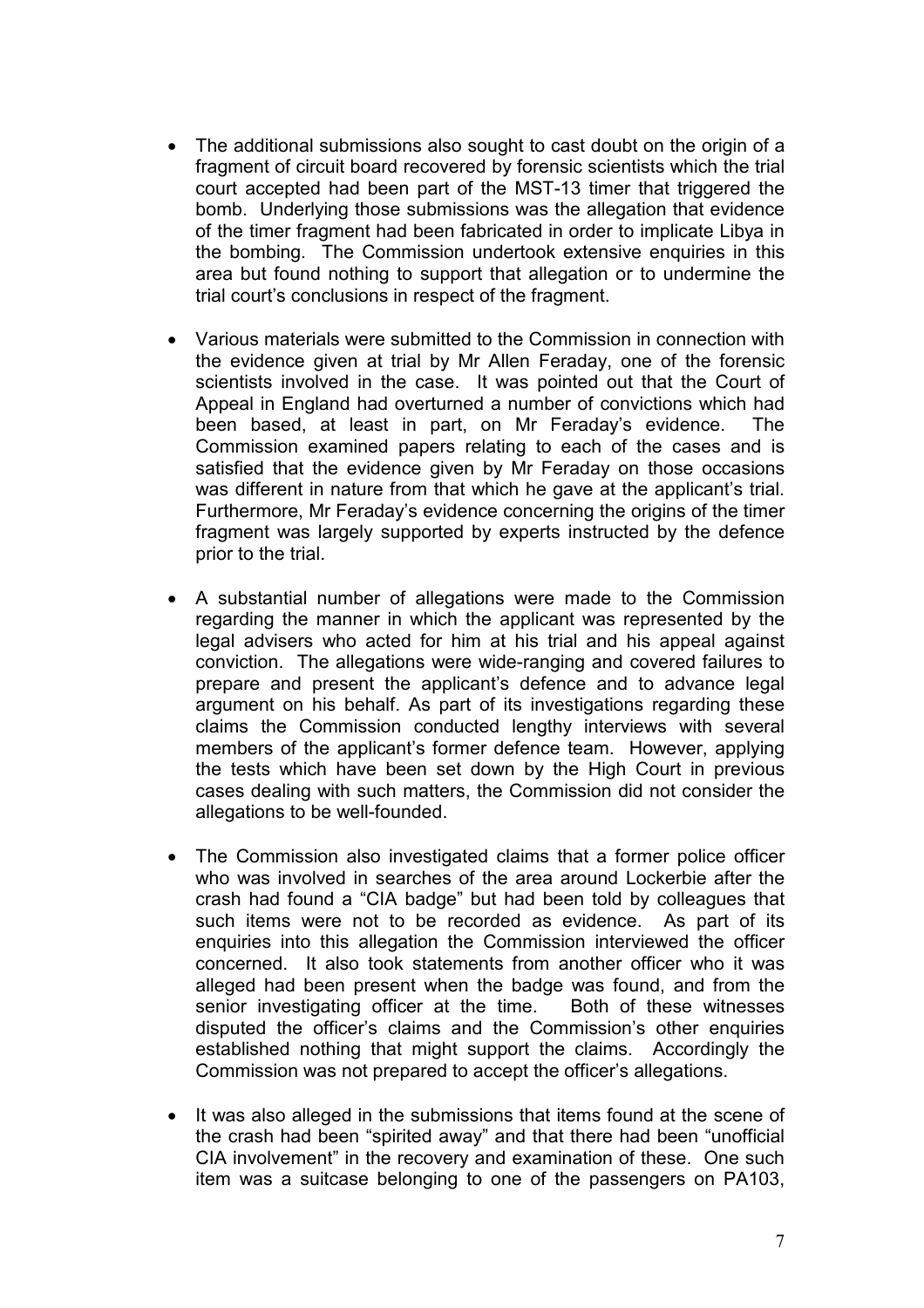- The additional submissions also sought to cast doubt on the origin of a fragment of circuit board recovered by forensic scientists which the trial court accepted had been part of the MST-13 timer that triggered the bomb. Underlying those submissions was the allegation that evidence of the timer fragment had been fabricated in order to implicate Libya in the bombing. The Commission undertook extensive enquiries in this area but found nothing to support that allegation or to undermine the trial court's conclusions in respect of the fragment.
- Various materials were submitted to the Commission in connection with the evidence given at trial by Mr Allen Feraday, one of the forensic scientists involved in the case. It was pointed out that the Court of Appeal in England had overturned a number of convictions which had been based, at least in part, on Mr Feraday's evidence. The Commission examined papers relating to each of the cases and is satisfied that the evidence given by Mr Feraday on those occasions was different in nature from that which he gave at the applicant's trial. Furthermore, Mr Feraday's evidence concerning the origins of the timer fragment was largely supported by experts instructed by the defence prior to the trial.
- A substantial number of allegations were made to the Commission regarding the manner in which the applicant was represented by the legal advisers who acted for him at his trial and his appeal against conviction. The allegations were wide-ranging and covered failures to prepare and present the applicant's defence and to advance legal argument on his behalf. As part of its investigations regarding these claims the Commission conducted lengthy interviews with several members of the applicant's former defence team. However, applying the tests which have been set down by the High Court in previous cases dealing with such matters, the Commission did not consider the allegations to be well-founded.
- The Commission also investigated claims that a former police officer who was involved in searches of the area around Lockerbie after the crash had found a "CIA badge" but had been told by colleagues that such items were not to be recorded as evidence. As part of its enquiries into this allegation the Commission interviewed the officer concerned. It also took statements from another officer who it was alleged had been present when the badge was found, and from the senior investigating officer at the time. Both of these witnesses disputed the officer's claims and the Commission's other enquiries established nothing that might support the claims. Accordingly the Commission was not prepared to accept the officer's allegations.
- It was also alleged in the submissions that items found at the scene of the crash had been "spirited away" and that there had been "unofficial CIA involvement" in the recovery and examination of these. One such item was a suitcase belonging to one of the passengers on PA103,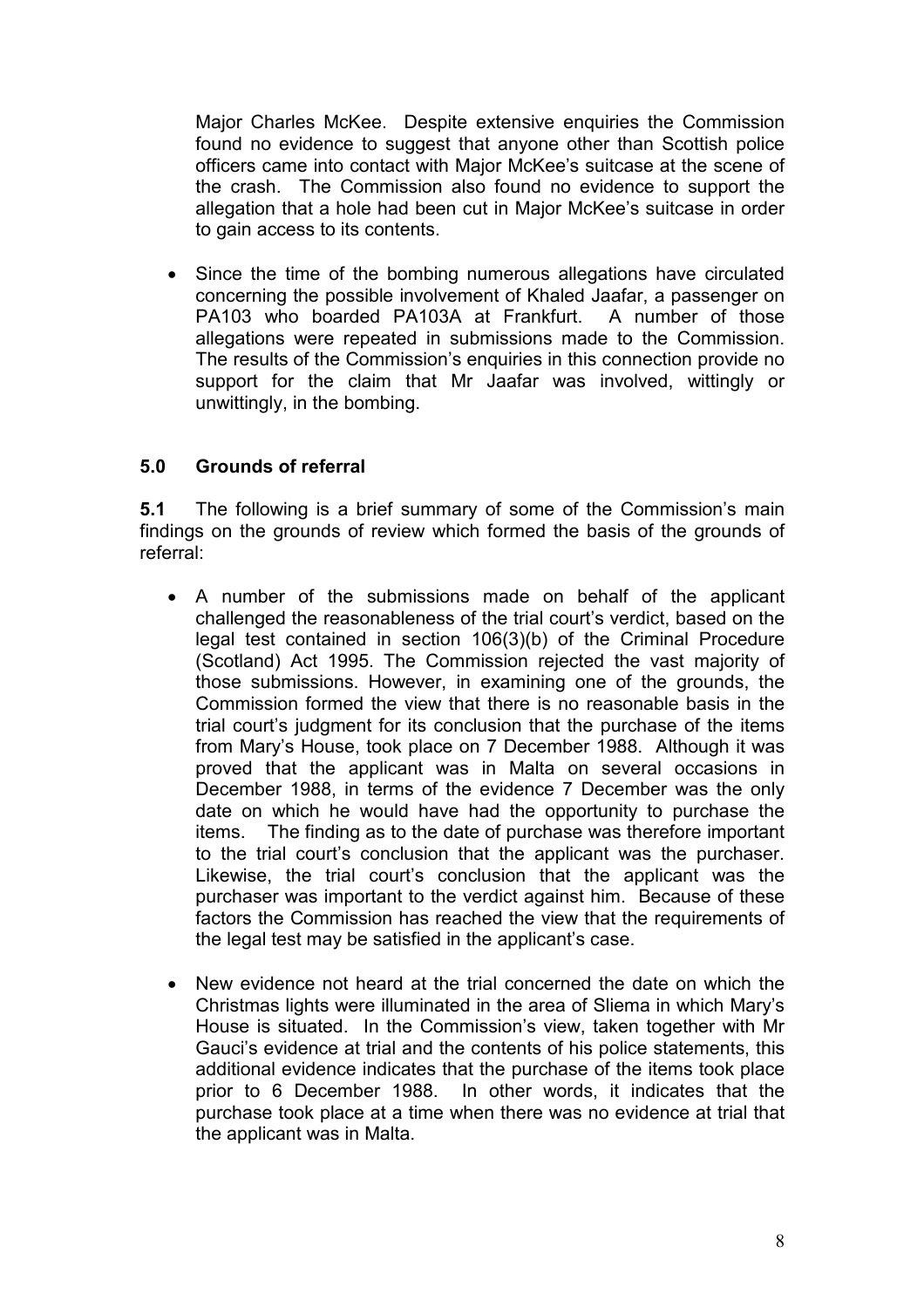Major Charles McKee. Despite extensive enquiries the Commission found no evidence to suggest that anyone other than Scottish police officers came into contact with Major McKee's suitcase at the scene of the crash. The Commission also found no evidence to support the allegation that a hole had been cut in Major McKee's suitcase in order to gain access to its contents.

Since the time of the bombing numerous allegations have circulated concerning the possible involvement of Khaled Jaafar, a passenger on PA103 who boarded PA103A at Frankfurt. A number of those allegations were repeated in submissions made to the Commission. The results of the Commission's enquiries in this connection provide no support for the claim that Mr Jaafar was involved, wittingly or unwittingly, in the bombing.

### 5.0 Grounds of referral

5.1 The following is a brief summary of some of the Commission's main findings on the grounds of review which formed the basis of the grounds of referral:

- A number of the submissions made on behalf of the applicant challenged the reasonableness of the trial court's verdict, based on the legal test contained in section 106(3)(b) of the Criminal Procedure (Scotland) Act 1995. The Commission rejected the vast majority of those submissions. However, in examining one of the grounds, the Commission formed the view that there is no reasonable basis in the trial court's judgment for its conclusion that the purchase of the items from Mary's House, took place on 7 December 1988. Although it was proved that the applicant was in Malta on several occasions in December 1988, in terms of the evidence 7 December was the only date on which he would have had the opportunity to purchase the items. The finding as to the date of purchase was therefore important to the trial court's conclusion that the applicant was the purchaser. Likewise, the trial court's conclusion that the applicant was the purchaser was important to the verdict against him. Because of these factors the Commission has reached the view that the requirements of the legal test may be satisfied in the applicant's case.
- New evidence not heard at the trial concerned the date on which the Christmas lights were illuminated in the area of Sliema in which Mary's House is situated. In the Commission's view, taken together with Mr Gauci's evidence at trial and the contents of his police statements, this additional evidence indicates that the purchase of the items took place prior to 6 December 1988. In other words, it indicates that the purchase took place at a time when there was no evidence at trial that the applicant was in Malta.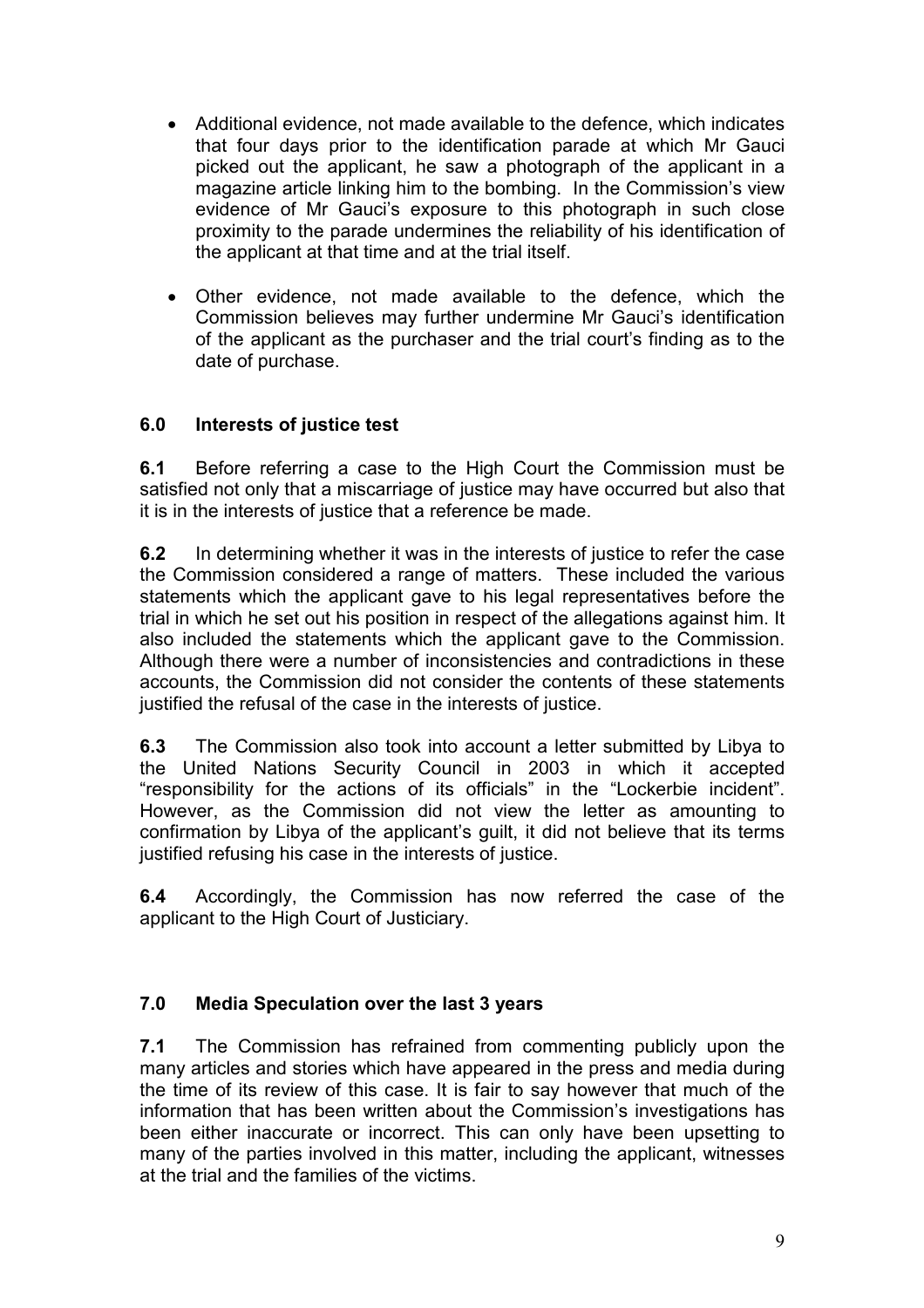- Additional evidence, not made available to the defence, which indicates that four days prior to the identification parade at which Mr Gauci picked out the applicant, he saw a photograph of the applicant in a magazine article linking him to the bombing. In the Commission's view evidence of Mr Gauci's exposure to this photograph in such close proximity to the parade undermines the reliability of his identification of the applicant at that time and at the trial itself.
- Other evidence, not made available to the defence, which the Commission believes may further undermine Mr Gauci's identification of the applicant as the purchaser and the trial court's finding as to the date of purchase.

## 6.0 Interests of justice test

6.1 Before referring a case to the High Court the Commission must be satisfied not only that a miscarriage of justice may have occurred but also that it is in the interests of justice that a reference be made.

6.2 In determining whether it was in the interests of justice to refer the case the Commission considered a range of matters. These included the various statements which the applicant gave to his legal representatives before the trial in which he set out his position in respect of the allegations against him. It also included the statements which the applicant gave to the Commission. Although there were a number of inconsistencies and contradictions in these accounts, the Commission did not consider the contents of these statements justified the refusal of the case in the interests of justice.

6.3 The Commission also took into account a letter submitted by Libya to the United Nations Security Council in 2003 in which it accepted "responsibility for the actions of its officials" in the "Lockerbie incident". However, as the Commission did not view the letter as amounting to confirmation by Libya of the applicant's guilt, it did not believe that its terms justified refusing his case in the interests of justice.

6.4 Accordingly, the Commission has now referred the case of the applicant to the High Court of Justiciary.

### 7.0 Media Speculation over the last 3 years

7.1 The Commission has refrained from commenting publicly upon the many articles and stories which have appeared in the press and media during the time of its review of this case. It is fair to say however that much of the information that has been written about the Commission's investigations has been either inaccurate or incorrect. This can only have been upsetting to many of the parties involved in this matter, including the applicant, witnesses at the trial and the families of the victims.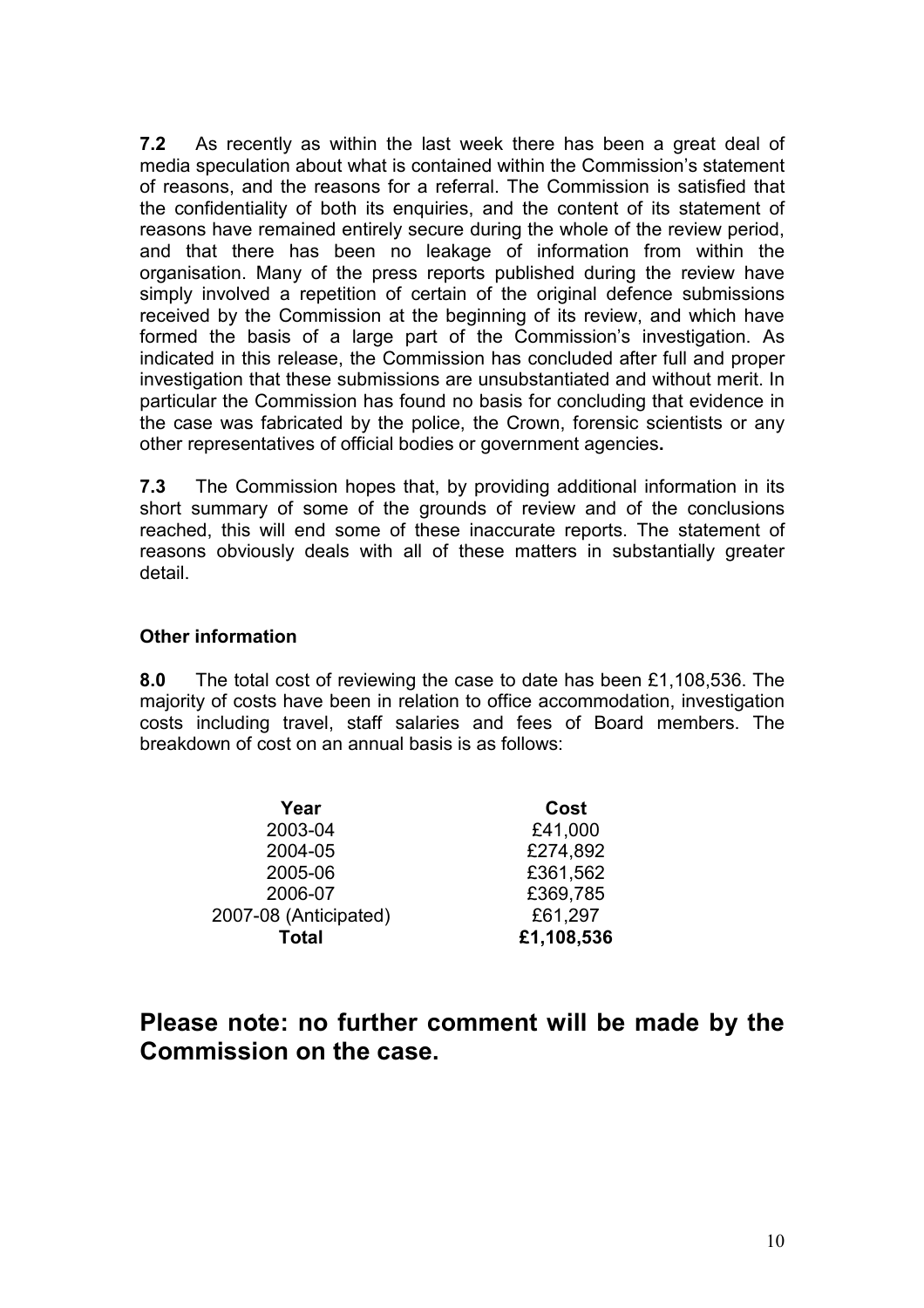7.2 As recently as within the last week there has been a great deal of media speculation about what is contained within the Commission's statement of reasons, and the reasons for a referral. The Commission is satisfied that the confidentiality of both its enquiries, and the content of its statement of reasons have remained entirely secure during the whole of the review period, and that there has been no leakage of information from within the organisation. Many of the press reports published during the review have simply involved a repetition of certain of the original defence submissions received by the Commission at the beginning of its review, and which have formed the basis of a large part of the Commission's investigation. As indicated in this release, the Commission has concluded after full and proper investigation that these submissions are unsubstantiated and without merit. In particular the Commission has found no basis for concluding that evidence in the case was fabricated by the police, the Crown, forensic scientists or any other representatives of official bodies or government agencies.

7.3 The Commission hopes that, by providing additional information in its short summary of some of the grounds of review and of the conclusions reached, this will end some of these inaccurate reports. The statement of reasons obviously deals with all of these matters in substantially greater detail.

### Other information

8.0 The total cost of reviewing the case to date has been £1,108,536. The majority of costs have been in relation to office accommodation, investigation costs including travel, staff salaries and fees of Board members. The breakdown of cost on an annual basis is as follows:

| Year                  | Cost       |
|-----------------------|------------|
| 2003-04               | £41,000    |
| 2004-05               | £274,892   |
| 2005-06               | £361,562   |
| 2006-07               | £369,785   |
| 2007-08 (Anticipated) | £61,297    |
| <b>Total</b>          | £1,108,536 |

# Please note: no further comment will be made by the Commission on the case.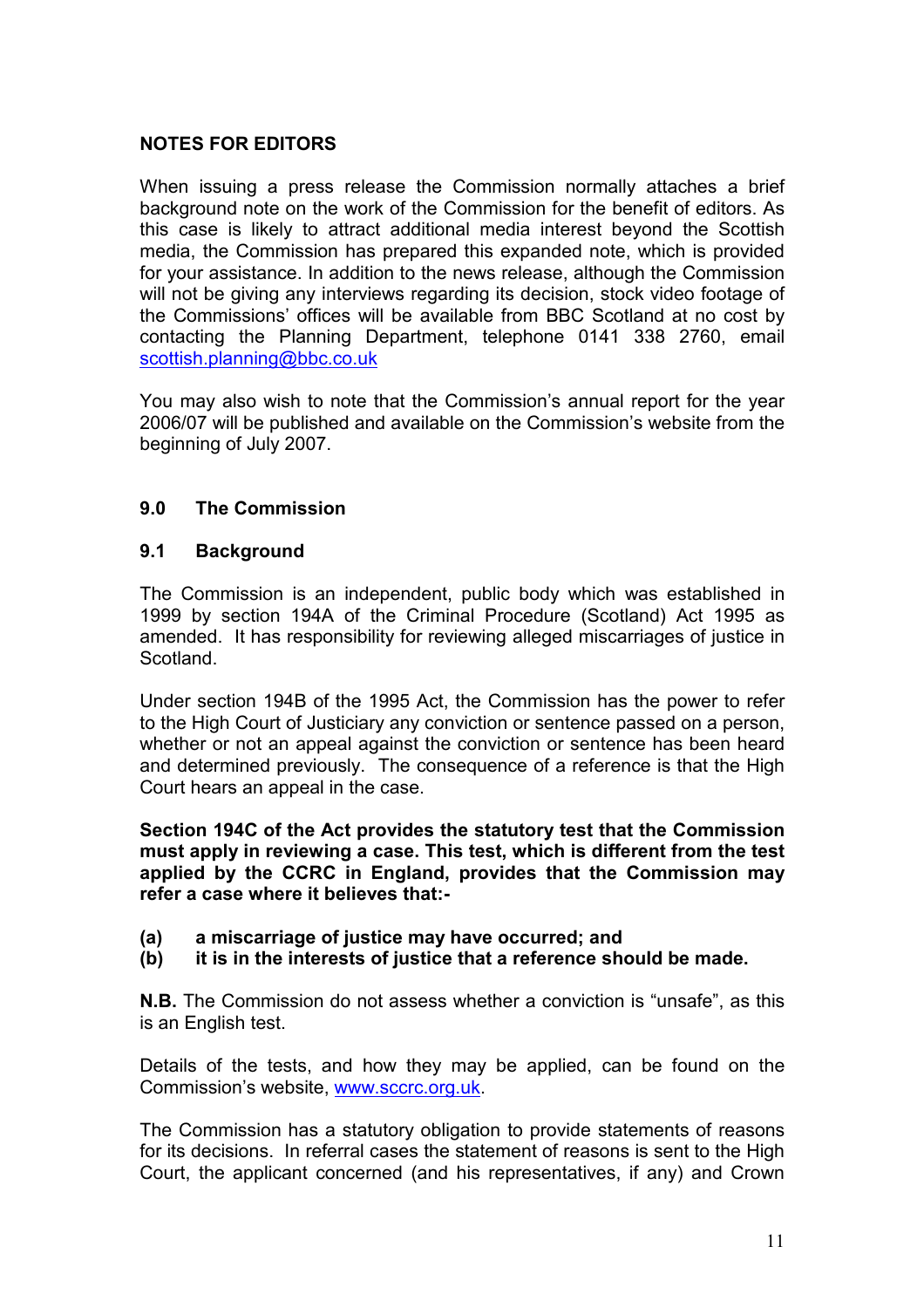## NOTES FOR EDITORS

When issuing a press release the Commission normally attaches a brief background note on the work of the Commission for the benefit of editors. As this case is likely to attract additional media interest beyond the Scottish media, the Commission has prepared this expanded note, which is provided for your assistance. In addition to the news release, although the Commission will not be giving any interviews regarding its decision, stock video footage of the Commissions' offices will be available from BBC Scotland at no cost by contacting the Planning Department, telephone 0141 338 2760, email scottish.planning@bbc.co.uk

You may also wish to note that the Commission's annual report for the year 2006/07 will be published and available on the Commission's website from the beginning of July 2007.

### 9.0 The Commission

### 9.1 Background

The Commission is an independent, public body which was established in 1999 by section 194A of the Criminal Procedure (Scotland) Act 1995 as amended. It has responsibility for reviewing alleged miscarriages of justice in Scotland.

Under section 194B of the 1995 Act, the Commission has the power to refer to the High Court of Justiciary any conviction or sentence passed on a person, whether or not an appeal against the conviction or sentence has been heard and determined previously. The consequence of a reference is that the High Court hears an appeal in the case.

Section 194C of the Act provides the statutory test that the Commission must apply in reviewing a case. This test, which is different from the test applied by the CCRC in England, provides that the Commission may refer a case where it believes that:-

- (a) a miscarriage of justice may have occurred; and
- (b) it is in the interests of justice that a reference should be made.

N.B. The Commission do not assess whether a conviction is "unsafe", as this is an English test.

Details of the tests, and how they may be applied, can be found on the Commission's website, www.sccrc.org.uk.

The Commission has a statutory obligation to provide statements of reasons for its decisions. In referral cases the statement of reasons is sent to the High Court, the applicant concerned (and his representatives, if any) and Crown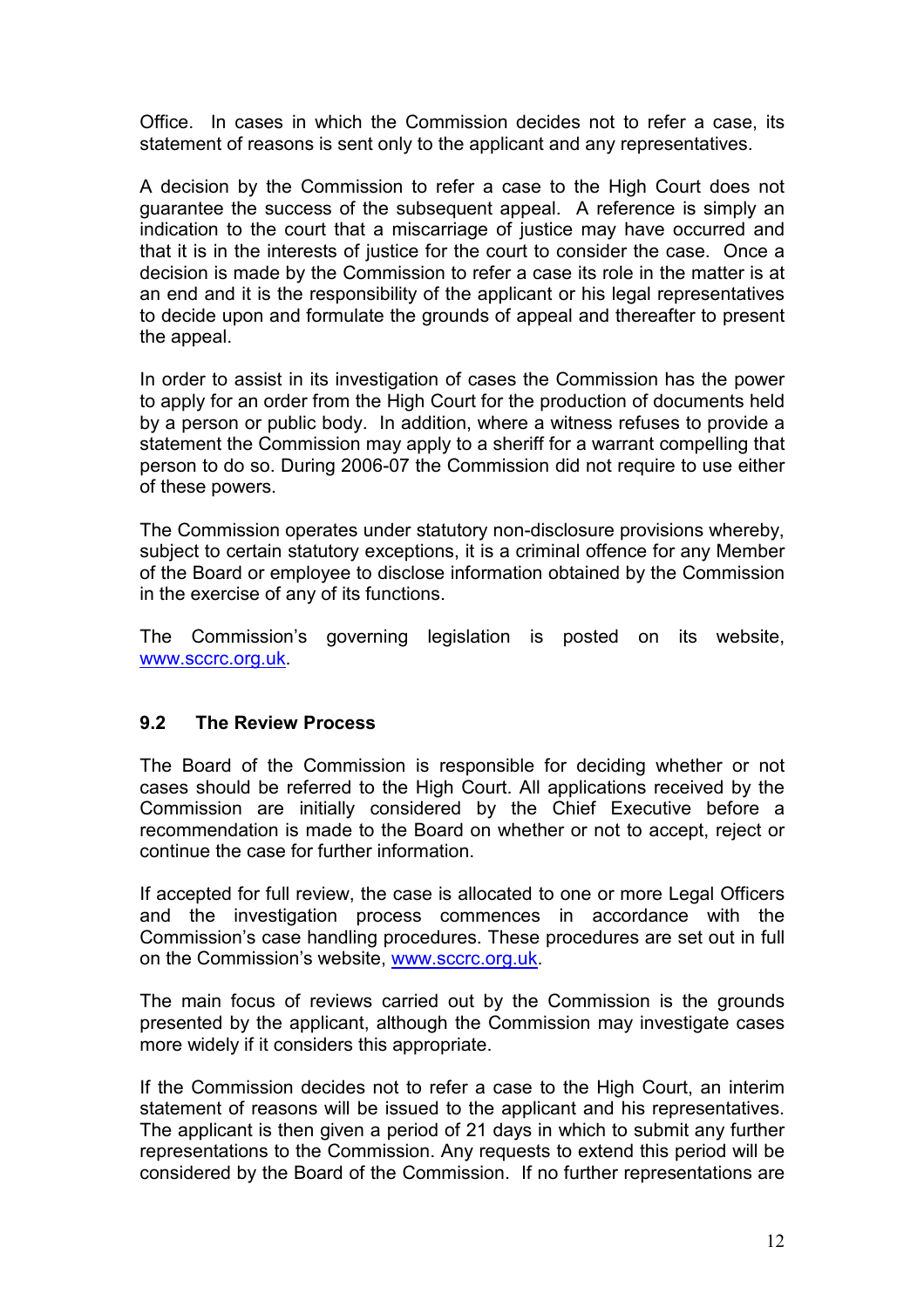Office. In cases in which the Commission decides not to refer a case, its statement of reasons is sent only to the applicant and any representatives.

A decision by the Commission to refer a case to the High Court does not guarantee the success of the subsequent appeal. A reference is simply an indication to the court that a miscarriage of justice may have occurred and that it is in the interests of justice for the court to consider the case. Once a decision is made by the Commission to refer a case its role in the matter is at an end and it is the responsibility of the applicant or his legal representatives to decide upon and formulate the grounds of appeal and thereafter to present the appeal.

In order to assist in its investigation of cases the Commission has the power to apply for an order from the High Court for the production of documents held by a person or public body. In addition, where a witness refuses to provide a statement the Commission may apply to a sheriff for a warrant compelling that person to do so. During 2006-07 the Commission did not require to use either of these powers.

The Commission operates under statutory non-disclosure provisions whereby, subject to certain statutory exceptions, it is a criminal offence for any Member of the Board or employee to disclose information obtained by the Commission in the exercise of any of its functions.

The Commission's governing legislation is posted on its website, www.sccrc.org.uk.

### 9.2 The Review Process

The Board of the Commission is responsible for deciding whether or not cases should be referred to the High Court. All applications received by the Commission are initially considered by the Chief Executive before a recommendation is made to the Board on whether or not to accept, reject or continue the case for further information.

If accepted for full review, the case is allocated to one or more Legal Officers and the investigation process commences in accordance with the Commission's case handling procedures. These procedures are set out in full on the Commission's website, www.sccrc.org.uk.

The main focus of reviews carried out by the Commission is the grounds presented by the applicant, although the Commission may investigate cases more widely if it considers this appropriate.

If the Commission decides not to refer a case to the High Court, an interim statement of reasons will be issued to the applicant and his representatives. The applicant is then given a period of 21 days in which to submit any further representations to the Commission. Any requests to extend this period will be considered by the Board of the Commission. If no further representations are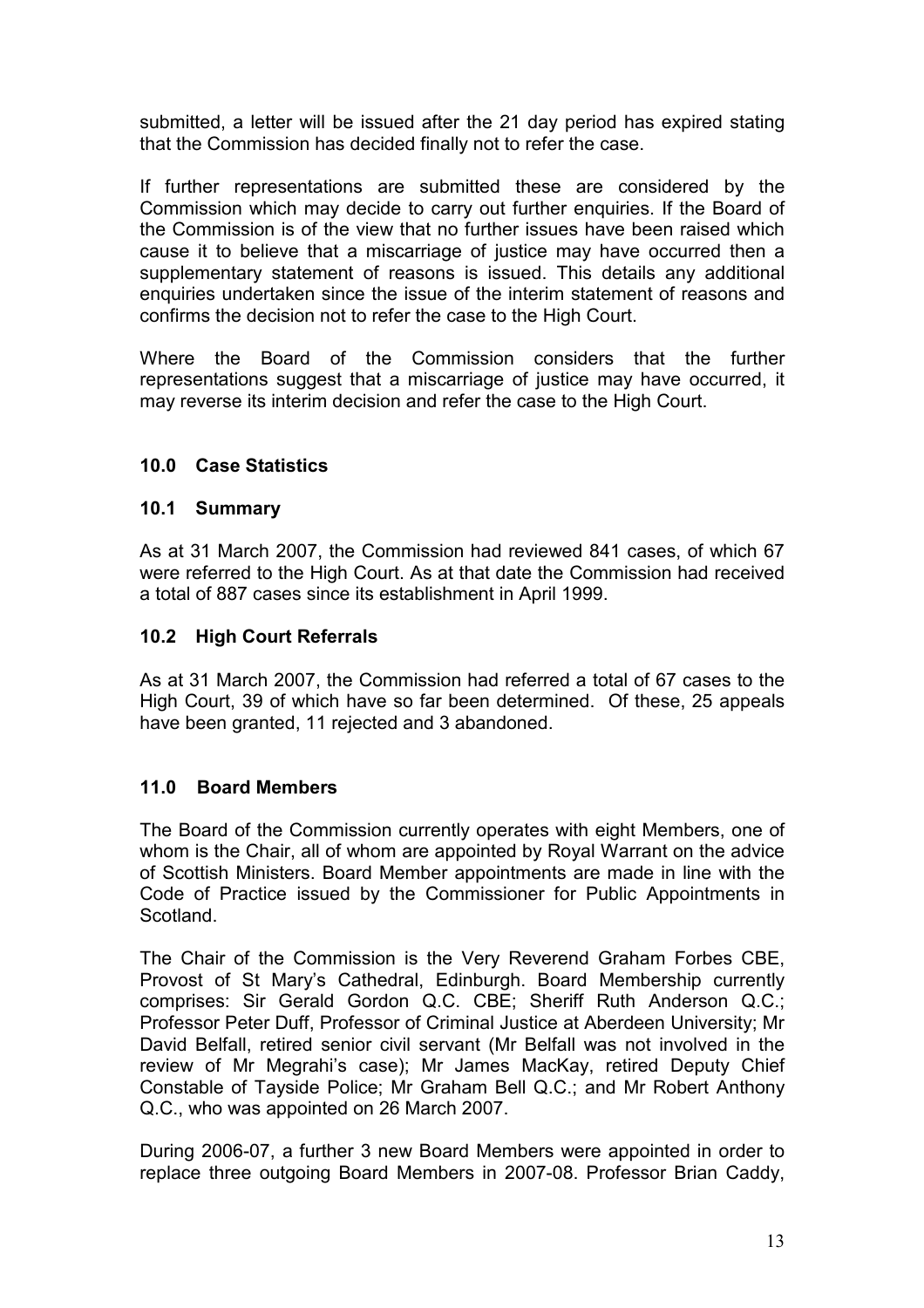submitted, a letter will be issued after the 21 day period has expired stating that the Commission has decided finally not to refer the case.

If further representations are submitted these are considered by the Commission which may decide to carry out further enquiries. If the Board of the Commission is of the view that no further issues have been raised which cause it to believe that a miscarriage of justice may have occurred then a supplementary statement of reasons is issued. This details any additional enquiries undertaken since the issue of the interim statement of reasons and confirms the decision not to refer the case to the High Court.

Where the Board of the Commission considers that the further representations suggest that a miscarriage of justice may have occurred, it may reverse its interim decision and refer the case to the High Court.

## 10.0 Case Statistics

### 10.1 Summary

As at 31 March 2007, the Commission had reviewed 841 cases, of which 67 were referred to the High Court. As at that date the Commission had received a total of 887 cases since its establishment in April 1999.

## 10.2 High Court Referrals

As at 31 March 2007, the Commission had referred a total of 67 cases to the High Court, 39 of which have so far been determined. Of these, 25 appeals have been granted, 11 rejected and 3 abandoned.

## 11.0 Board Members

The Board of the Commission currently operates with eight Members, one of whom is the Chair, all of whom are appointed by Royal Warrant on the advice of Scottish Ministers. Board Member appointments are made in line with the Code of Practice issued by the Commissioner for Public Appointments in **Scotland** 

The Chair of the Commission is the Very Reverend Graham Forbes CBE, Provost of St Mary's Cathedral, Edinburgh. Board Membership currently comprises: Sir Gerald Gordon Q.C. CBE; Sheriff Ruth Anderson Q.C.; Professor Peter Duff, Professor of Criminal Justice at Aberdeen University; Mr David Belfall, retired senior civil servant (Mr Belfall was not involved in the review of Mr Megrahi's case); Mr James MacKay, retired Deputy Chief Constable of Tayside Police; Mr Graham Bell Q.C.; and Mr Robert Anthony Q.C., who was appointed on 26 March 2007.

During 2006-07, a further 3 new Board Members were appointed in order to replace three outgoing Board Members in 2007-08. Professor Brian Caddy,